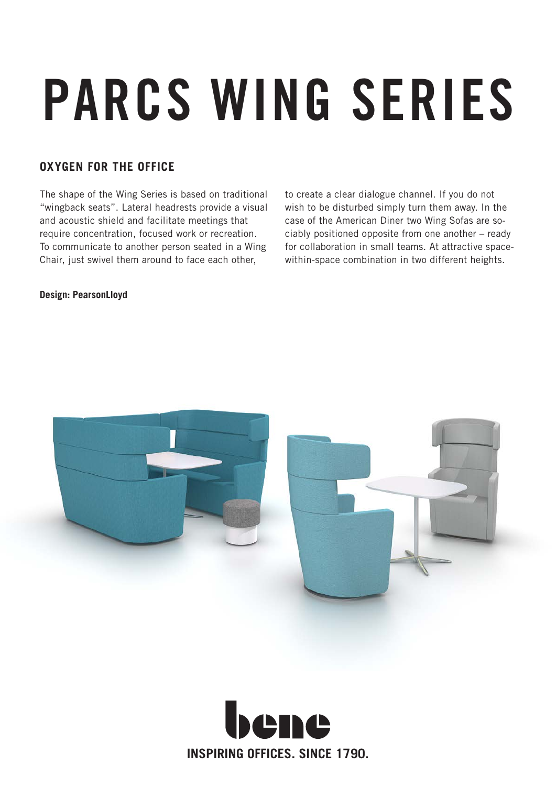# PARCS WING SERIES

### **OXYGEN FOR THE OFFICE**

The shape of the Wing Series is based on traditional "wingback seats". Lateral headrests provide a visual and acoustic shield and facilitate meetings that require concentration, focused work or recreation. To communicate to another person seated in a Wing Chair, just swivel them around to face each other,

to create a clear dialogue channel. If you do not wish to be disturbed simply turn them away. In the case of the American Diner two Wing Sofas are sociably positioned opposite from one another – ready for collaboration in small teams. At attractive spacewithin-space combination in two different heights.

#### **Design: PearsonLloyd**



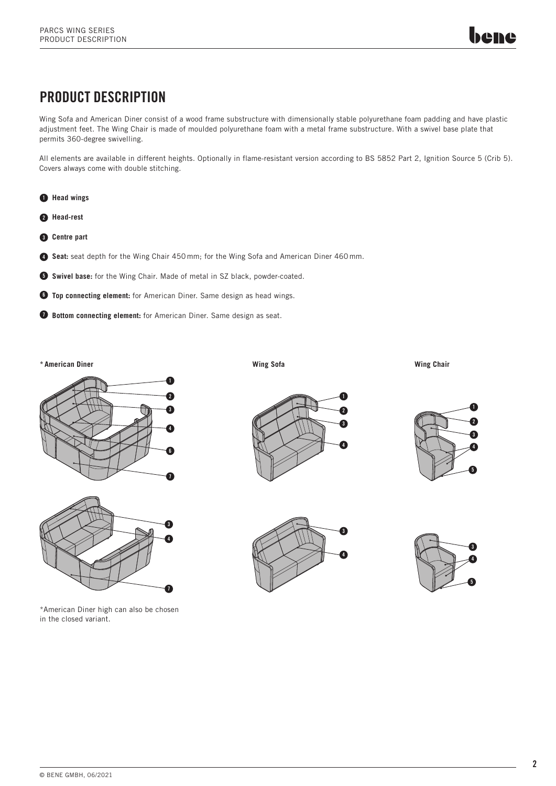## PRODUCT DESCRIPTION

Wing Sofa and American Diner consist of a wood frame substructure with dimensionally stable polyurethane foam padding and have plastic adjustment feet. The Wing Chair is made of moulded polyurethane foam with a metal frame substructure. With a swivel base plate that permits 360-degree swivelling.

All elements are available in different heights. Optionally in flame-resistant version according to BS 5852 Part 2, Ignition Source 5 (Crib 5). Covers always come with double stitching.



- 2 **Head-rest**
- 3 **Centre part**
- **Seat:** seat depth for the Wing Chair 450 mm; for the Wing Sofa and American Diner 460 mm.
- **5 Swivel base:** for the Wing Chair. Made of metal in SZ black, powder-coated.
- **Top connecting element:** for American Diner. Same design as head wings.
- **Bottom connecting element:** for American Diner. Same design as seat.

**\* American Diner**





\*American Diner high can also be chosen in the closed variant.

**Wing Sofa**

**Wing Chair**







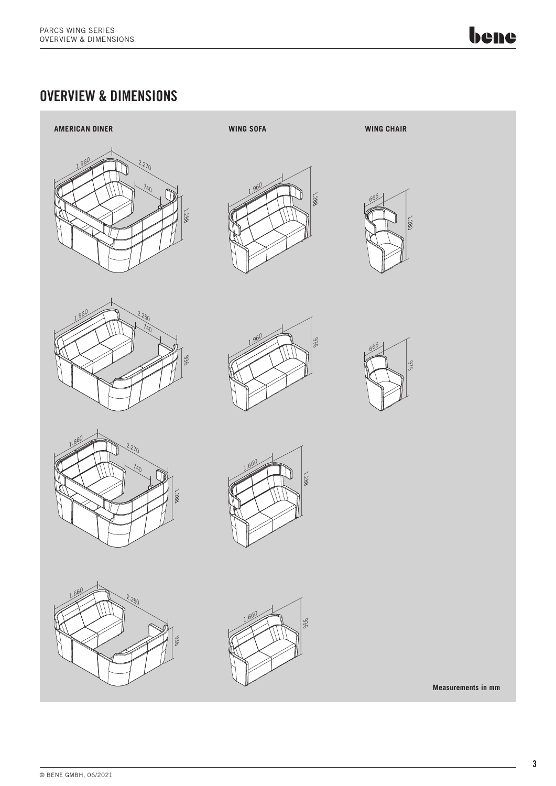bene

## OVERVIEW & DIMENSIONS





















**Measurements in mm**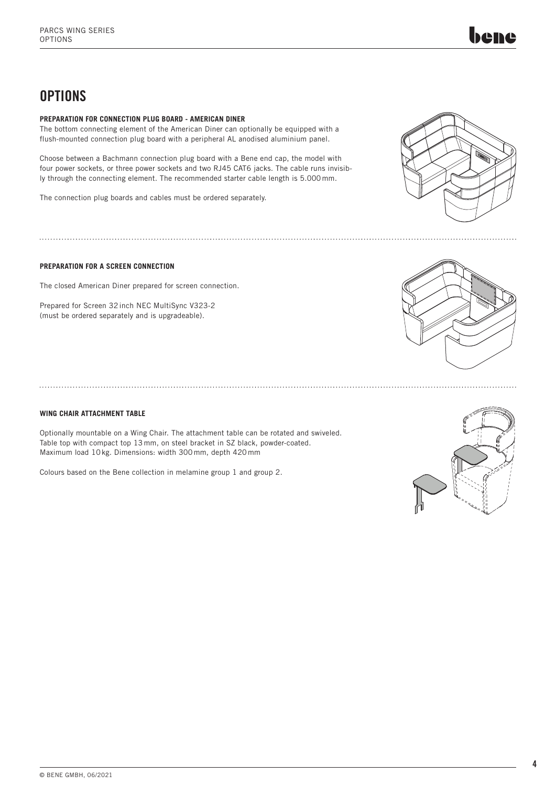## **OPTIONS**

#### **PREPARATION FOR CONNECTION PLUG BOARD - AMERICAN DINER**

The bottom connecting element of the American Diner can optionally be equipped with a flush-mounted connection plug board with a peripheral AL anodised aluminium panel.

Choose between a Bachmann connection plug board with a Bene end cap, the model with four power sockets, or three power sockets and two RJ45 CAT6 jacks. The cable runs invisibly through the connecting element. The recommended starter cable length is 5.000 mm.

The connection plug boards and cables must be ordered separately.



#### **PREPARATION FOR A SCREEN CONNECTION**

The closed American Diner prepared for screen connection.

Prepared for Screen 32 inch NEC MultiSync V323-2 (must be ordered separately and is upgradeable).

#### **WING CHAIR ATTACHMENT TABLE**

Optionally mountable on a Wing Chair. The attachment table can be rotated and swiveled. Table top with compact top 13 mm, on steel bracket in SZ black, powder-coated. Maximum load 10 kg. Dimensions: width 300 mm, depth 420 mm

Colours based on the Bene collection in melamine group 1 and group 2.



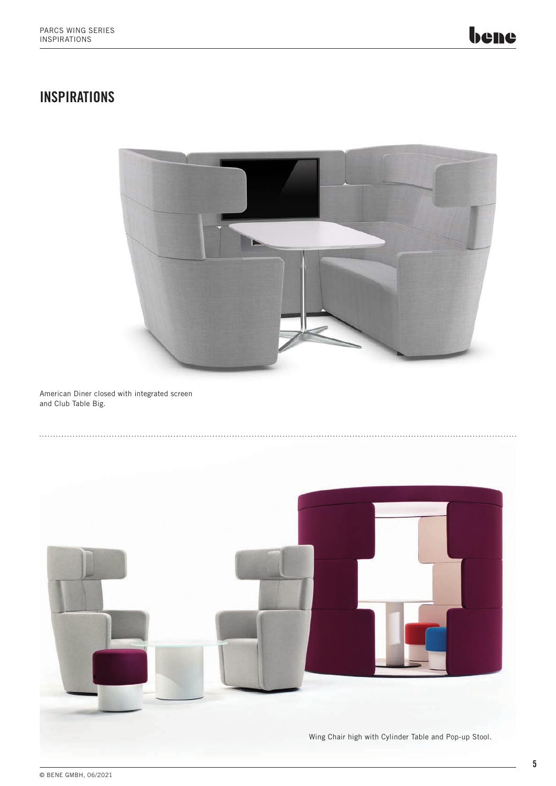## **INSPIRATIONS**



American Diner closed with integrated screen and Club Table Big.

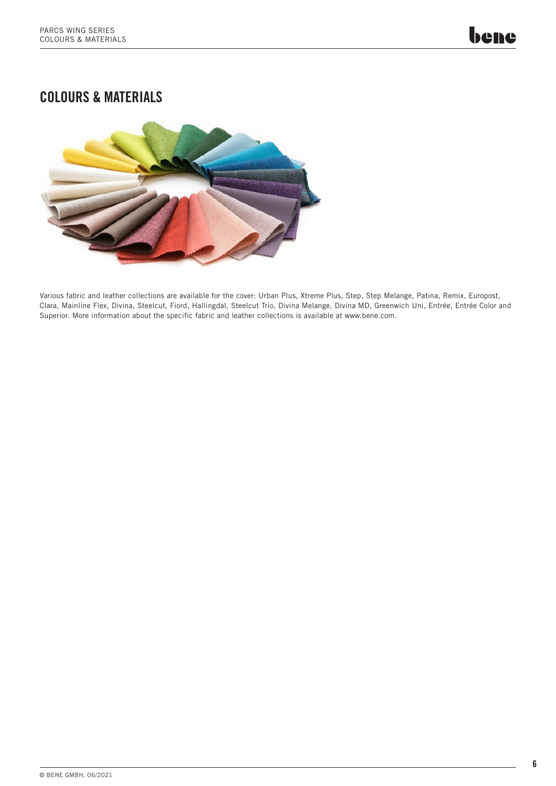## COLOURS & MATERIALS



Various fabric and leather collections are available for the cover: Urban Plus, Xtreme Plus, Step, Step Melange, Patina, Remix, Europost, Clara, Mainline Flex, Divina, Steelcut, Fiord, Hallingdal, Steelcut Trio, Divina Melange, Divina MD, Greenwich Uni, Entrée, Entrée Color and Superior. More information about the specific fabric and leather collections is available at www.bene.com.